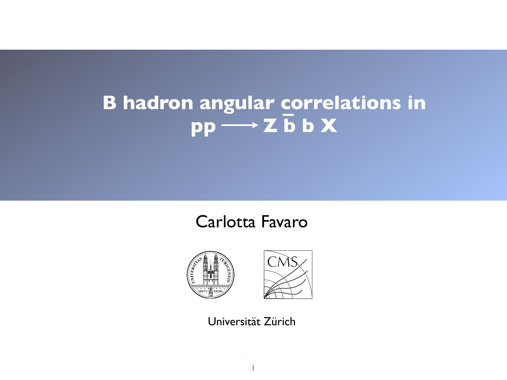# **B hadron angular correlations in**   $pp \longrightarrow Z b b X$

### Carlotta Favaro





Universität Zürich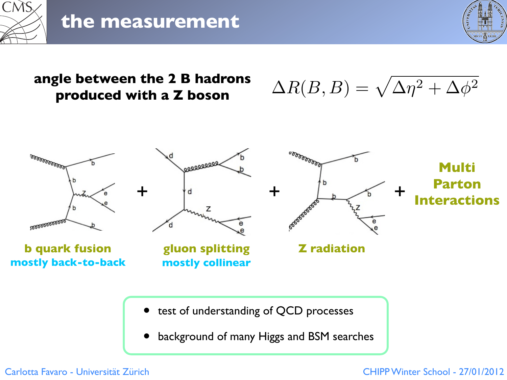

### **the measurement**



#### **angle between the 2 B hadrons produced with a Z boson**

 $\Delta R(B,B) = \sqrt{\Delta \eta^2 + \Delta \phi^2}$ 



- test of understanding of QCD processes
- background of many Higgs and BSM searches

Carlotta Favaro - Universität Zürich CHIPP Winter School - 27/01/2012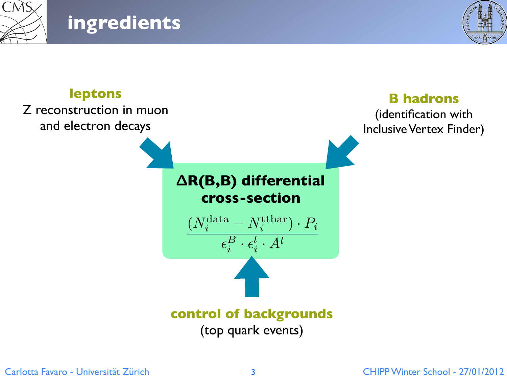

**ingredients**



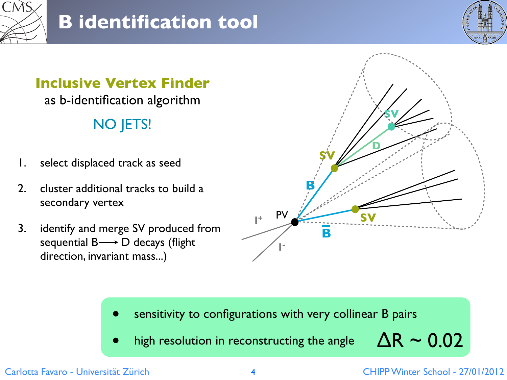



### **Inclusive Vertex Finder**  as b-identification algorithm NO JETS!

- 1. select displaced track as seed
- 2. cluster additional tracks to build a secondary vertex
- 3. identify and merge SV produced from sequential  $B \longrightarrow D$  decays (flight direction, invariant mass...)



- sensitivity to configurations with very collinear B pairs
- high resolution in reconstructing the angle

# $\Delta$ R ~ 0.02

Carlotta Favaro - Universität Zürich CHIPP Winter School - 27/01/2012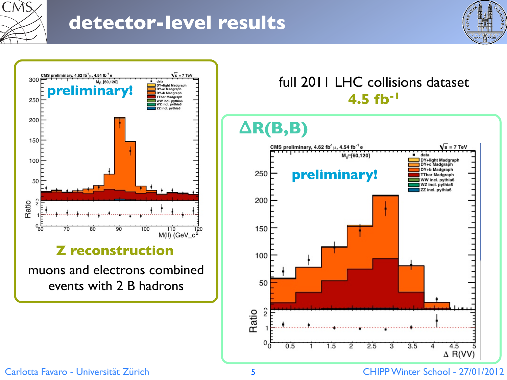

## **detector-level results**





events with 2 B hadrons

# full 2011 LHC collisions dataset